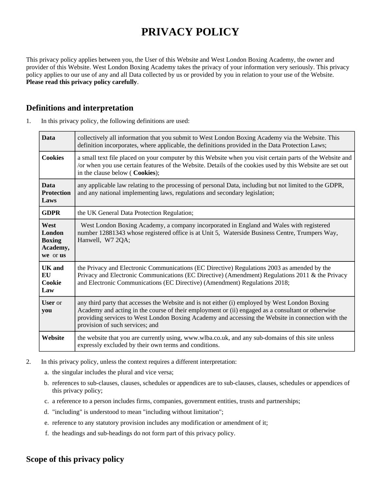# **PRIVACY POLICY**

This privacy policy applies between you, the User of this Website and West London Boxing Academy, the owner and provider of this Website. West London Boxing Academy takes the privacy of your information very seriously. This privacy policy applies to our use of any and all Data collected by us or provided by you in relation to your use of the Website. **Please read this privacy policy carefully**.

## **Definitions and interpretation**

| <b>Data</b>                                             | collectively all information that you submit to West London Boxing Academy via the Website. This<br>definition incorporates, where applicable, the definitions provided in the Data Protection Laws;                                                                                                                                        |  |
|---------------------------------------------------------|---------------------------------------------------------------------------------------------------------------------------------------------------------------------------------------------------------------------------------------------------------------------------------------------------------------------------------------------|--|
| <b>Cookies</b>                                          | a small text file placed on your computer by this Website when you visit certain parts of the Website and<br>/or when you use certain features of the Website. Details of the cookies used by this Website are set out<br>in the clause below (Cookies);                                                                                    |  |
| <b>Data</b><br><b>Protection</b><br>Laws                | any applicable law relating to the processing of personal Data, including but not limited to the GDPR,<br>and any national implementing laws, regulations and secondary legislation;                                                                                                                                                        |  |
| <b>GDPR</b>                                             | the UK General Data Protection Regulation;                                                                                                                                                                                                                                                                                                  |  |
| West<br>London<br><b>Boxing</b><br>Academy,<br>we or us | West London Boxing Academy, a company incorporated in England and Wales with registered<br>number 12881343 whose registered office is at Unit 5, Waterside Business Centre, Trumpers Way,<br>Hanwell, W7 2QA;                                                                                                                               |  |
| <b>UK</b> and<br>EU<br>Cookie<br>Law                    | the Privacy and Electronic Communications (EC Directive) Regulations 2003 as amended by the<br>Privacy and Electronic Communications (EC Directive) (Amendment) Regulations 2011 & the Privacy<br>and Electronic Communications (EC Directive) (Amendment) Regulations 2018;                                                                |  |
| <b>User</b> or<br>you                                   | any third party that accesses the Website and is not either (i) employed by West London Boxing<br>Academy and acting in the course of their employment or (ii) engaged as a consultant or otherwise<br>providing services to West London Boxing Academy and accessing the Website in connection with the<br>provision of such services; and |  |
| Website                                                 | the website that you are currently using, www.wlba.co.uk, and any sub-domains of this site unless<br>expressly excluded by their own terms and conditions.                                                                                                                                                                                  |  |

1. In this privacy policy, the following definitions are used:

- 2. In this privacy policy, unless the context requires a different interpretation:
	- a. the singular includes the plural and vice versa;
	- b. references to sub-clauses, clauses, schedules or appendices are to sub-clauses, clauses, schedules or appendices of this privacy policy;
	- c. a reference to a person includes firms, companies, government entities, trusts and partnerships;
	- d. "including" is understood to mean "including without limitation";
	- e. reference to any statutory provision includes any modification or amendment of it;
	- f. the headings and sub-headings do not form part of this privacy policy.

# **Scope of this privacy policy**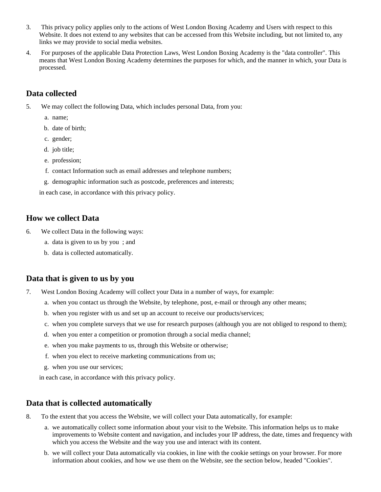- 3. This privacy policy applies only to the actions of West London Boxing Academy and Users with respect to this Website. It does not extend to any websites that can be accessed from this Website including, but not limited to, any links we may provide to social media websites.
- 4. For purposes of the applicable Data Protection Laws, West London Boxing Academy is the "data controller". This means that West London Boxing Academy determines the purposes for which, and the manner in which, your Data is processed.

## **Data collected**

- 5. We may collect the following Data, which includes personal Data, from you:
	- a. name;
	- b. date of birth;
	- c. gender;
	- d. job title;
	- e. profession;
	- f. contact Information such as email addresses and telephone numbers;
	- g. demographic information such as postcode, preferences and interests;

in each case, in accordance with this privacy policy.

#### **How we collect Data**

- 6. We collect Data in the following ways:
	- a. data is given to us by you ; and
	- b. data is collected automatically.

#### **Data that is given to us by you**

- 7. West London Boxing Academy will collect your Data in a number of ways, for example:
	- a. when you contact us through the Website, by telephone, post, e-mail or through any other means;
	- b. when you register with us and set up an account to receive our products/services;
	- c. when you complete surveys that we use for research purposes (although you are not obliged to respond to them);
	- d. when you enter a competition or promotion through a social media channel;
	- e. when you make payments to us, through this Website or otherwise;
	- f. when you elect to receive marketing communications from us;
	- g. when you use our services;

in each case, in accordance with this privacy policy.

## **Data that is collected automatically**

- 8. To the extent that you access the Website, we will collect your Data automatically, for example:
	- a. we automatically collect some information about your visit to the Website. This information helps us to make improvements to Website content and navigation, and includes your IP address, the date, times and frequency with which you access the Website and the way you use and interact with its content.
	- b. we will collect your Data automatically via cookies, in line with the cookie settings on your browser. For more information about cookies, and how we use them on the Website, see the section below, headed "Cookies".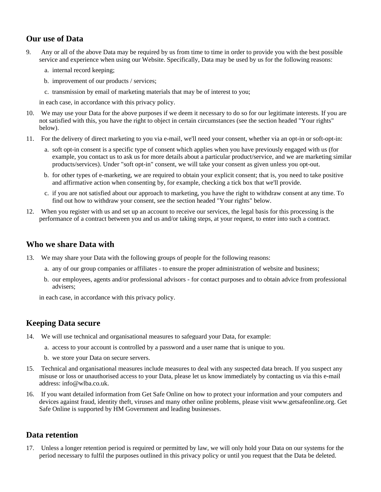# **Our use of Data**

- 9. Any or all of the above Data may be required by us from time to time in order to provide you with the best possible service and experience when using our Website. Specifically, Data may be used by us for the following reasons:
	- a. internal record keeping;
	- b. improvement of our products / services;
	- c. transmission by email of marketing materials that may be of interest to you;

in each case, in accordance with this privacy policy.

- 10. We may use your Data for the above purposes if we deem it necessary to do so for our legitimate interests. If you are not satisfied with this, you have the right to object in certain circumstances (see the section headed "Your rights" below).
- 11. For the delivery of direct marketing to you via e-mail, we'll need your consent, whether via an opt-in or soft-opt-in:
	- a. soft opt-in consent is a specific type of consent which applies when you have previously engaged with us (for example, you contact us to ask us for more details about a particular product/service, and we are marketing similar products/services). Under "soft opt-in" consent, we will take your consent as given unless you opt-out.
	- b. for other types of e-marketing, we are required to obtain your explicit consent; that is, you need to take positive and affirmative action when consenting by, for example, checking a tick box that we'll provide.
	- c. if you are not satisfied about our approach to marketing, you have the right to withdraw consent at any time. To find out how to withdraw your consent, see the section headed "Your rights" below.
- 12. When you register with us and set up an account to receive our services, the legal basis for this processing is the performance of a contract between you and us and/or taking steps, at your request, to enter into such a contract.

#### **Who we share Data with**

- 13. We may share your Data with the following groups of people for the following reasons:
	- a. any of our group companies or affiliates to ensure the proper administration of website and business;
	- b. our employees, agents and/or professional advisors for contact purposes and to obtain advice from professional advisers;

in each case, in accordance with this privacy policy.

## **Keeping Data secure**

- 14. We will use technical and organisational measures to safeguard your Data, for example:
	- a. access to your account is controlled by a password and a user name that is unique to you.
	- b. we store your Data on secure servers.
- 15. Technical and organisational measures include measures to deal with any suspected data breach. If you suspect any misuse or loss or unauthorised access to your Data, please let us know immediately by contacting us via this e-mail address: info@wlba.co.uk.
- 16. If you want detailed information from Get Safe Online on how to protect your information and your computers and devices against fraud, identity theft, viruses and many other online problems, please visit www.getsafeonline.org. Get Safe Online is supported by HM Government and leading businesses.

#### **Data retention**

17. Unless a longer retention period is required or permitted by law, we will only hold your Data on our systems for the period necessary to fulfil the purposes outlined in this privacy policy or until you request that the Data be deleted.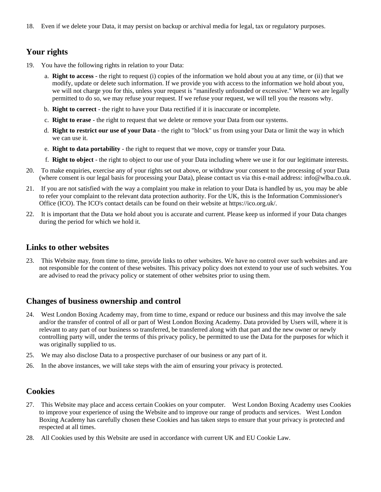18. Even if we delete your Data, it may persist on backup or archival media for legal, tax or regulatory purposes.

# **Your rights**

- 19. You have the following rights in relation to your Data:
	- a. **Right to access** the right to request (i) copies of the information we hold about you at any time, or (ii) that we modify, update or delete such information. If we provide you with access to the information we hold about you, we will not charge you for this, unless your request is "manifestly unfounded or excessive." Where we are legally permitted to do so, we may refuse your request. If we refuse your request, we will tell you the reasons why.
	- b. **Right to correct** the right to have your Data rectified if it is inaccurate or incomplete.
	- c. **Right to erase** the right to request that we delete or remove your Data from our systems.
	- d. **Right to restrict our use of your Data** the right to "block" us from using your Data or limit the way in which we can use it.
	- e. **Right to data portability** the right to request that we move, copy or transfer your Data.
	- f. **Right to object** the right to object to our use of your Data including where we use it for our legitimate interests.
- 20. To make enquiries, exercise any of your rights set out above, or withdraw your consent to the processing of your Data (where consent is our legal basis for processing your Data), please contact us via this e-mail address: info@wlba.co.uk.
- 21. If you are not satisfied with the way a complaint you make in relation to your Data is handled by us, you may be able to refer your complaint to the relevant data protection authority. For the UK, this is the Information Commissioner's Office (ICO). The ICO's contact details can be found on their website at https://ico.org.uk/.
- 22. It is important that the Data we hold about you is accurate and current. Please keep us informed if your Data changes during the period for which we hold it.

#### **Links to other websites**

23. This Website may, from time to time, provide links to other websites. We have no control over such websites and are not responsible for the content of these websites. This privacy policy does not extend to your use of such websites. You are advised to read the privacy policy or statement of other websites prior to using them.

#### **Changes of business ownership and control**

- 24. West London Boxing Academy may, from time to time, expand or reduce our business and this may involve the sale and/or the transfer of control of all or part of West London Boxing Academy. Data provided by Users will, where it is relevant to any part of our business so transferred, be transferred along with that part and the new owner or newly controlling party will, under the terms of this privacy policy, be permitted to use the Data for the purposes for which it was originally supplied to us.
- 25. We may also disclose Data to a prospective purchaser of our business or any part of it.
- 26. In the above instances, we will take steps with the aim of ensuring your privacy is protected.

#### **Cookies**

- 27. This Website may place and access certain Cookies on your computer. West London Boxing Academy uses Cookies to improve your experience of using the Website and to improve our range of products and services. West London Boxing Academy has carefully chosen these Cookies and has taken steps to ensure that your privacy is protected and respected at all times.
- 28. All Cookies used by this Website are used in accordance with current UK and EU Cookie Law.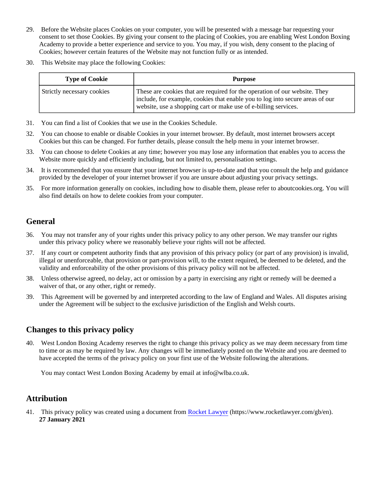- 29. Before the Website places Cookies on your computer, you will be presented with a message bar requesting your consent to set those Cookies. By giving your consent to the placing of Cookies, you are enabling West London Boxing Academy to provide a better experience and service to you. You may, if you wish, deny consent to the placing of Cookies; however certain features of the Website may not function fully or as intended.
- 30. This Website may place the following Cookies:

| <b>Type of Cookie</b>      | <b>Purpose</b>                                                                                                                                                                                                                   |
|----------------------------|----------------------------------------------------------------------------------------------------------------------------------------------------------------------------------------------------------------------------------|
| Strictly necessary cookies | These are cookies that are required for the operation of our website. They<br>  include, for example, cookies that enable you to log into secure areas of our<br>website, use a shopping cart or make use of e-billing services. |

- 31. You can find a list of Cookies that we use in the Cookies Schedule.
- 32. You can choose to enable or disable Cookies in your internet browser. By default, most internet browsers accept Cookies but this can be changed. For further details, please consult the help menu in your internet browser.
- 33. You can choose to delete Cookies at any time; however you may lose any information that enables you to access the Website more quickly and efficiently including, but not limited to, personalisation settings.
- 34. It is recommended that you ensure that your internet browser is up-to-date and that you consult the help and guidance provided by the developer of your internet browser if you are unsure about adjusting your privacy settings.
- 35. For more information generally on cookies, including how to disable them, please refer to aboutcookies.org. You will also find details on how to delete cookies from your computer.

# **General**

- 36. You may not transfer any of your rights under this privacy policy to any other person. We may transfer our rights under this privacy policy where we reasonably believe your rights will not be affected.
- 37. If any court or competent authority finds that any provision of this privacy policy (or part of any provision) is invalid, illegal or unenforceable, that provision or part-provision will, to the extent required, be deemed to be deleted, and the validity and enforceability of the other provisions of this privacy policy will not be affected.
- 38. Unless otherwise agreed, no delay, act or omission by a party in exercising any right or remedy will be deemed a waiver of that, or any other, right or remedy.
- 39. This Agreement will be governed by and interpreted according to the law of England and Wales. All disputes arising under the Agreement will be subject to the exclusive jurisdiction of the English and Welsh courts.

# **Changes to this privacy policy**

40. West London Boxing Academy reserves the right to change this privacy policy as we may deem necessary from time to time or as may be required by law. Any changes will be immediately posted on the Website and you are deemed to have accepted the terms of the privacy policy on your first use of the Website following the alterations.

You may contact West London Boxing Academy by email at info@wlba.co.uk.

# **Attribution**

41. This privacy policy was created using a document from [Rocket Lawyer](https://www.rocketlawyer.com/gb/en/) (https://www.rocketlawyer.com/gb/en). **27 January 2021**